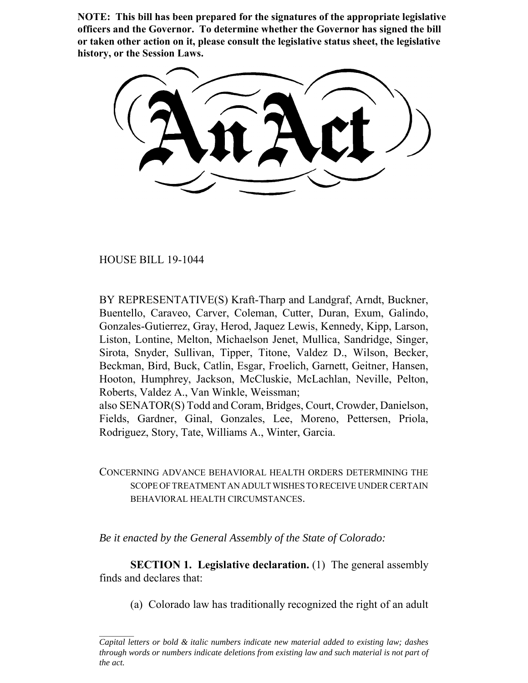**NOTE: This bill has been prepared for the signatures of the appropriate legislative officers and the Governor. To determine whether the Governor has signed the bill or taken other action on it, please consult the legislative status sheet, the legislative history, or the Session Laws.**

HOUSE BILL 19-1044

BY REPRESENTATIVE(S) Kraft-Tharp and Landgraf, Arndt, Buckner, Buentello, Caraveo, Carver, Coleman, Cutter, Duran, Exum, Galindo, Gonzales-Gutierrez, Gray, Herod, Jaquez Lewis, Kennedy, Kipp, Larson, Liston, Lontine, Melton, Michaelson Jenet, Mullica, Sandridge, Singer, Sirota, Snyder, Sullivan, Tipper, Titone, Valdez D., Wilson, Becker, Beckman, Bird, Buck, Catlin, Esgar, Froelich, Garnett, Geitner, Hansen, Hooton, Humphrey, Jackson, McCluskie, McLachlan, Neville, Pelton, Roberts, Valdez A., Van Winkle, Weissman;

also SENATOR(S) Todd and Coram, Bridges, Court, Crowder, Danielson, Fields, Gardner, Ginal, Gonzales, Lee, Moreno, Pettersen, Priola, Rodriguez, Story, Tate, Williams A., Winter, Garcia.

CONCERNING ADVANCE BEHAVIORAL HEALTH ORDERS DETERMINING THE SCOPE OF TREATMENT AN ADULT WISHES TO RECEIVE UNDER CERTAIN BEHAVIORAL HEALTH CIRCUMSTANCES.

*Be it enacted by the General Assembly of the State of Colorado:*

**SECTION 1. Legislative declaration.** (1) The general assembly finds and declares that:

(a) Colorado law has traditionally recognized the right of an adult

*Capital letters or bold & italic numbers indicate new material added to existing law; dashes through words or numbers indicate deletions from existing law and such material is not part of the act.*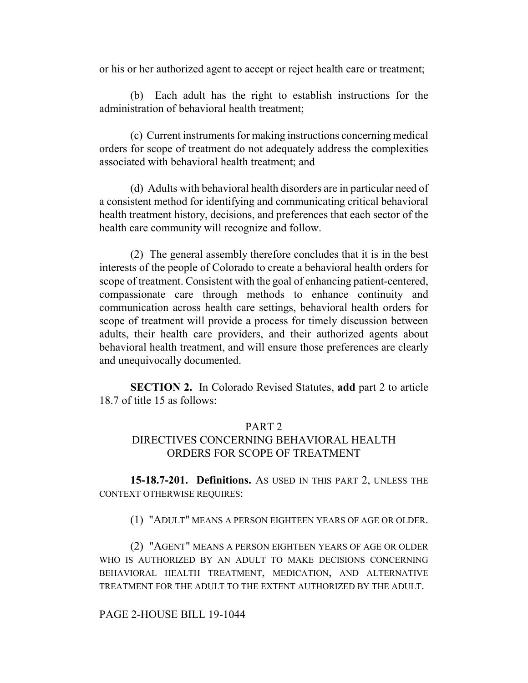or his or her authorized agent to accept or reject health care or treatment;

(b) Each adult has the right to establish instructions for the administration of behavioral health treatment;

(c) Current instruments for making instructions concerning medical orders for scope of treatment do not adequately address the complexities associated with behavioral health treatment; and

(d) Adults with behavioral health disorders are in particular need of a consistent method for identifying and communicating critical behavioral health treatment history, decisions, and preferences that each sector of the health care community will recognize and follow.

(2) The general assembly therefore concludes that it is in the best interests of the people of Colorado to create a behavioral health orders for scope of treatment. Consistent with the goal of enhancing patient-centered, compassionate care through methods to enhance continuity and communication across health care settings, behavioral health orders for scope of treatment will provide a process for timely discussion between adults, their health care providers, and their authorized agents about behavioral health treatment, and will ensure those preferences are clearly and unequivocally documented.

**SECTION 2.** In Colorado Revised Statutes, **add** part 2 to article 18.7 of title 15 as follows:

# PART 2

# DIRECTIVES CONCERNING BEHAVIORAL HEALTH ORDERS FOR SCOPE OF TREATMENT

**15-18.7-201. Definitions.** AS USED IN THIS PART 2, UNLESS THE CONTEXT OTHERWISE REQUIRES:

(1) "ADULT" MEANS A PERSON EIGHTEEN YEARS OF AGE OR OLDER.

(2) "AGENT" MEANS A PERSON EIGHTEEN YEARS OF AGE OR OLDER WHO IS AUTHORIZED BY AN ADULT TO MAKE DECISIONS CONCERNING BEHAVIORAL HEALTH TREATMENT, MEDICATION, AND ALTERNATIVE TREATMENT FOR THE ADULT TO THE EXTENT AUTHORIZED BY THE ADULT.

#### PAGE 2-HOUSE BILL 19-1044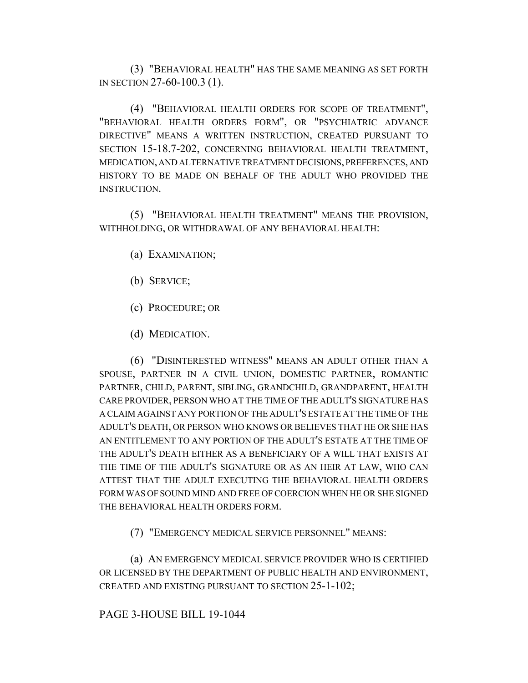(3) "BEHAVIORAL HEALTH" HAS THE SAME MEANING AS SET FORTH IN SECTION 27-60-100.3 (1).

(4) "BEHAVIORAL HEALTH ORDERS FOR SCOPE OF TREATMENT", "BEHAVIORAL HEALTH ORDERS FORM", OR "PSYCHIATRIC ADVANCE DIRECTIVE" MEANS A WRITTEN INSTRUCTION, CREATED PURSUANT TO SECTION 15-18.7-202, CONCERNING BEHAVIORAL HEALTH TREATMENT, MEDICATION, AND ALTERNATIVE TREATMENT DECISIONS, PREFERENCES, AND HISTORY TO BE MADE ON BEHALF OF THE ADULT WHO PROVIDED THE INSTRUCTION.

(5) "BEHAVIORAL HEALTH TREATMENT" MEANS THE PROVISION, WITHHOLDING, OR WITHDRAWAL OF ANY BEHAVIORAL HEALTH:

- (a) EXAMINATION;
- (b) SERVICE;
- (c) PROCEDURE; OR
- (d) MEDICATION.

(6) "DISINTERESTED WITNESS" MEANS AN ADULT OTHER THAN A SPOUSE, PARTNER IN A CIVIL UNION, DOMESTIC PARTNER, ROMANTIC PARTNER, CHILD, PARENT, SIBLING, GRANDCHILD, GRANDPARENT, HEALTH CARE PROVIDER, PERSON WHO AT THE TIME OF THE ADULT'S SIGNATURE HAS A CLAIM AGAINST ANY PORTION OF THE ADULT'S ESTATE AT THE TIME OF THE ADULT'S DEATH, OR PERSON WHO KNOWS OR BELIEVES THAT HE OR SHE HAS AN ENTITLEMENT TO ANY PORTION OF THE ADULT'S ESTATE AT THE TIME OF THE ADULT'S DEATH EITHER AS A BENEFICIARY OF A WILL THAT EXISTS AT THE TIME OF THE ADULT'S SIGNATURE OR AS AN HEIR AT LAW, WHO CAN ATTEST THAT THE ADULT EXECUTING THE BEHAVIORAL HEALTH ORDERS FORM WAS OF SOUND MIND AND FREE OF COERCION WHEN HE OR SHE SIGNED THE BEHAVIORAL HEALTH ORDERS FORM.

(7) "EMERGENCY MEDICAL SERVICE PERSONNEL" MEANS:

(a) AN EMERGENCY MEDICAL SERVICE PROVIDER WHO IS CERTIFIED OR LICENSED BY THE DEPARTMENT OF PUBLIC HEALTH AND ENVIRONMENT, CREATED AND EXISTING PURSUANT TO SECTION 25-1-102;

#### PAGE 3-HOUSE BILL 19-1044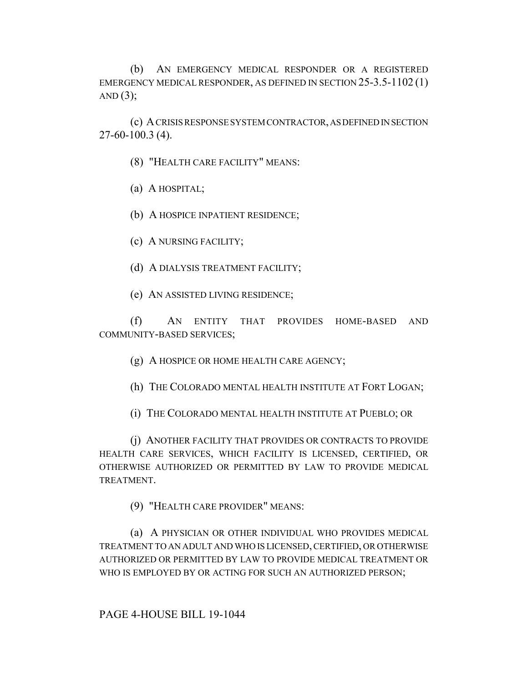(b) AN EMERGENCY MEDICAL RESPONDER OR A REGISTERED EMERGENCY MEDICAL RESPONDER, AS DEFINED IN SECTION 25-3.5-1102 (1) AND  $(3)$ ;

(c) A CRISIS RESPONSE SYSTEM CONTRACTOR, AS DEFINED IN SECTION 27-60-100.3 (4).

(8) "HEALTH CARE FACILITY" MEANS:

(a) A HOSPITAL;

(b) A HOSPICE INPATIENT RESIDENCE;

(c) A NURSING FACILITY;

(d) A DIALYSIS TREATMENT FACILITY;

(e) AN ASSISTED LIVING RESIDENCE;

(f) AN ENTITY THAT PROVIDES HOME-BASED AND COMMUNITY-BASED SERVICES;

(g) A HOSPICE OR HOME HEALTH CARE AGENCY;

(h) THE COLORADO MENTAL HEALTH INSTITUTE AT FORT LOGAN;

(i) THE COLORADO MENTAL HEALTH INSTITUTE AT PUEBLO; OR

(j) ANOTHER FACILITY THAT PROVIDES OR CONTRACTS TO PROVIDE HEALTH CARE SERVICES, WHICH FACILITY IS LICENSED, CERTIFIED, OR OTHERWISE AUTHORIZED OR PERMITTED BY LAW TO PROVIDE MEDICAL TREATMENT.

(9) "HEALTH CARE PROVIDER" MEANS:

(a) A PHYSICIAN OR OTHER INDIVIDUAL WHO PROVIDES MEDICAL TREATMENT TO AN ADULT AND WHO IS LICENSED, CERTIFIED, OR OTHERWISE AUTHORIZED OR PERMITTED BY LAW TO PROVIDE MEDICAL TREATMENT OR WHO IS EMPLOYED BY OR ACTING FOR SUCH AN AUTHORIZED PERSON;

PAGE 4-HOUSE BILL 19-1044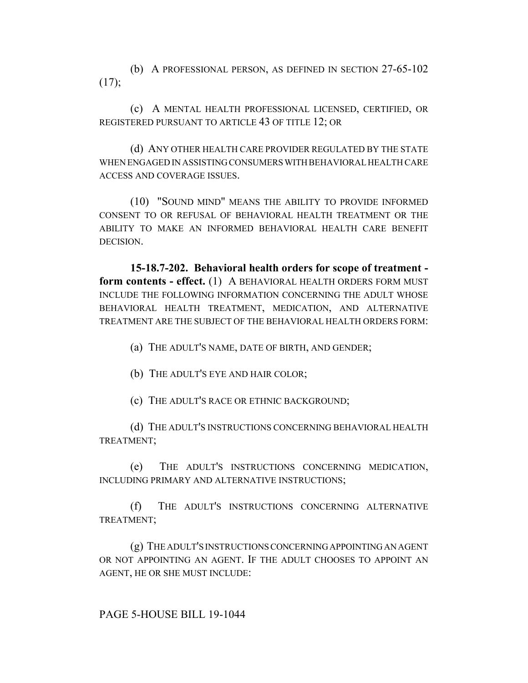(b) A PROFESSIONAL PERSON, AS DEFINED IN SECTION 27-65-102  $(17)$ ;

(c) A MENTAL HEALTH PROFESSIONAL LICENSED, CERTIFIED, OR REGISTERED PURSUANT TO ARTICLE 43 OF TITLE 12; OR

(d) ANY OTHER HEALTH CARE PROVIDER REGULATED BY THE STATE WHEN ENGAGED IN ASSISTING CONSUMERS WITH BEHAVIORAL HEALTH CARE ACCESS AND COVERAGE ISSUES.

(10) "SOUND MIND" MEANS THE ABILITY TO PROVIDE INFORMED CONSENT TO OR REFUSAL OF BEHAVIORAL HEALTH TREATMENT OR THE ABILITY TO MAKE AN INFORMED BEHAVIORAL HEALTH CARE BENEFIT DECISION.

**15-18.7-202. Behavioral health orders for scope of treatment form contents - effect.** (1) A BEHAVIORAL HEALTH ORDERS FORM MUST INCLUDE THE FOLLOWING INFORMATION CONCERNING THE ADULT WHOSE BEHAVIORAL HEALTH TREATMENT, MEDICATION, AND ALTERNATIVE TREATMENT ARE THE SUBJECT OF THE BEHAVIORAL HEALTH ORDERS FORM:

(a) THE ADULT'S NAME, DATE OF BIRTH, AND GENDER;

(b) THE ADULT'S EYE AND HAIR COLOR;

(c) THE ADULT'S RACE OR ETHNIC BACKGROUND;

(d) THE ADULT'S INSTRUCTIONS CONCERNING BEHAVIORAL HEALTH TREATMENT;

(e) THE ADULT'S INSTRUCTIONS CONCERNING MEDICATION, INCLUDING PRIMARY AND ALTERNATIVE INSTRUCTIONS;

(f) THE ADULT'S INSTRUCTIONS CONCERNING ALTERNATIVE TREATMENT;

(g) THE ADULT'S INSTRUCTIONS CONCERNING APPOINTING AN AGENT OR NOT APPOINTING AN AGENT. IF THE ADULT CHOOSES TO APPOINT AN AGENT, HE OR SHE MUST INCLUDE: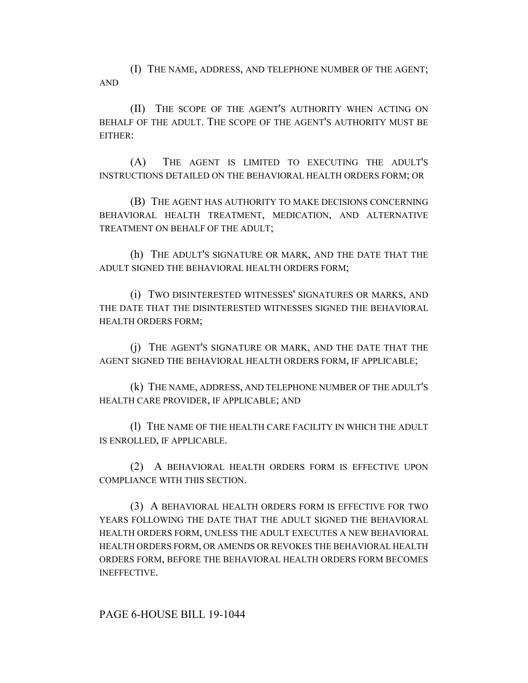(I) THE NAME, ADDRESS, AND TELEPHONE NUMBER OF THE AGENT; AND

(II) THE SCOPE OF THE AGENT'S AUTHORITY WHEN ACTING ON BEHALF OF THE ADULT. THE SCOPE OF THE AGENT'S AUTHORITY MUST BE EITHER:

(A) THE AGENT IS LIMITED TO EXECUTING THE ADULT'S INSTRUCTIONS DETAILED ON THE BEHAVIORAL HEALTH ORDERS FORM; OR

(B) THE AGENT HAS AUTHORITY TO MAKE DECISIONS CONCERNING BEHAVIORAL HEALTH TREATMENT, MEDICATION, AND ALTERNATIVE TREATMENT ON BEHALF OF THE ADULT;

(h) THE ADULT'S SIGNATURE OR MARK, AND THE DATE THAT THE ADULT SIGNED THE BEHAVIORAL HEALTH ORDERS FORM;

(i) TWO DISINTERESTED WITNESSES' SIGNATURES OR MARKS, AND THE DATE THAT THE DISINTERESTED WITNESSES SIGNED THE BEHAVIORAL HEALTH ORDERS FORM;

(j) THE AGENT'S SIGNATURE OR MARK, AND THE DATE THAT THE AGENT SIGNED THE BEHAVIORAL HEALTH ORDERS FORM, IF APPLICABLE;

(k) THE NAME, ADDRESS, AND TELEPHONE NUMBER OF THE ADULT'S HEALTH CARE PROVIDER, IF APPLICABLE; AND

(l) THE NAME OF THE HEALTH CARE FACILITY IN WHICH THE ADULT IS ENROLLED, IF APPLICABLE.

(2) A BEHAVIORAL HEALTH ORDERS FORM IS EFFECTIVE UPON COMPLIANCE WITH THIS SECTION.

(3) A BEHAVIORAL HEALTH ORDERS FORM IS EFFECTIVE FOR TWO YEARS FOLLOWING THE DATE THAT THE ADULT SIGNED THE BEHAVIORAL HEALTH ORDERS FORM, UNLESS THE ADULT EXECUTES A NEW BEHAVIORAL HEALTH ORDERS FORM, OR AMENDS OR REVOKES THE BEHAVIORAL HEALTH ORDERS FORM, BEFORE THE BEHAVIORAL HEALTH ORDERS FORM BECOMES INEFFECTIVE.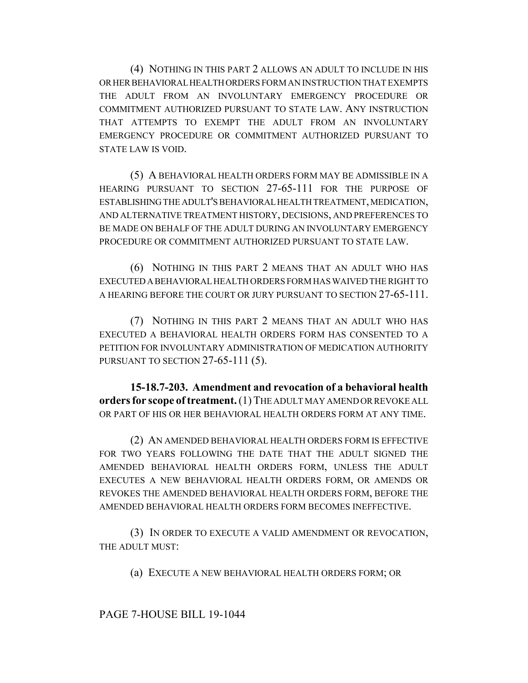(4) NOTHING IN THIS PART 2 ALLOWS AN ADULT TO INCLUDE IN HIS OR HER BEHAVIORAL HEALTH ORDERS FORM AN INSTRUCTION THAT EXEMPTS THE ADULT FROM AN INVOLUNTARY EMERGENCY PROCEDURE OR COMMITMENT AUTHORIZED PURSUANT TO STATE LAW. ANY INSTRUCTION THAT ATTEMPTS TO EXEMPT THE ADULT FROM AN INVOLUNTARY EMERGENCY PROCEDURE OR COMMITMENT AUTHORIZED PURSUANT TO STATE LAW IS VOID.

(5) A BEHAVIORAL HEALTH ORDERS FORM MAY BE ADMISSIBLE IN A HEARING PURSUANT TO SECTION 27-65-111 FOR THE PURPOSE OF ESTABLISHING THE ADULT'S BEHAVIORAL HEALTH TREATMENT, MEDICATION, AND ALTERNATIVE TREATMENT HISTORY, DECISIONS, AND PREFERENCES TO BE MADE ON BEHALF OF THE ADULT DURING AN INVOLUNTARY EMERGENCY PROCEDURE OR COMMITMENT AUTHORIZED PURSUANT TO STATE LAW.

(6) NOTHING IN THIS PART 2 MEANS THAT AN ADULT WHO HAS EXECUTED A BEHAVIORAL HEALTH ORDERS FORM HAS WAIVED THE RIGHT TO A HEARING BEFORE THE COURT OR JURY PURSUANT TO SECTION 27-65-111.

(7) NOTHING IN THIS PART 2 MEANS THAT AN ADULT WHO HAS EXECUTED A BEHAVIORAL HEALTH ORDERS FORM HAS CONSENTED TO A PETITION FOR INVOLUNTARY ADMINISTRATION OF MEDICATION AUTHORITY PURSUANT TO SECTION 27-65-111 (5).

**15-18.7-203. Amendment and revocation of a behavioral health orders for scope of treatment.** (1) THE ADULT MAY AMEND OR REVOKE ALL OR PART OF HIS OR HER BEHAVIORAL HEALTH ORDERS FORM AT ANY TIME.

(2) AN AMENDED BEHAVIORAL HEALTH ORDERS FORM IS EFFECTIVE FOR TWO YEARS FOLLOWING THE DATE THAT THE ADULT SIGNED THE AMENDED BEHAVIORAL HEALTH ORDERS FORM, UNLESS THE ADULT EXECUTES A NEW BEHAVIORAL HEALTH ORDERS FORM, OR AMENDS OR REVOKES THE AMENDED BEHAVIORAL HEALTH ORDERS FORM, BEFORE THE AMENDED BEHAVIORAL HEALTH ORDERS FORM BECOMES INEFFECTIVE.

(3) IN ORDER TO EXECUTE A VALID AMENDMENT OR REVOCATION, THE ADULT MUST:

(a) EXECUTE A NEW BEHAVIORAL HEALTH ORDERS FORM; OR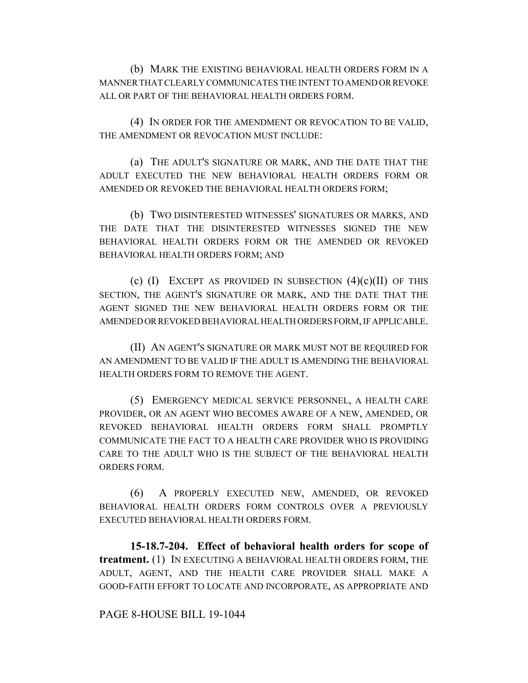(b) MARK THE EXISTING BEHAVIORAL HEALTH ORDERS FORM IN A MANNER THAT CLEARLY COMMUNICATES THE INTENT TO AMEND OR REVOKE ALL OR PART OF THE BEHAVIORAL HEALTH ORDERS FORM.

(4) IN ORDER FOR THE AMENDMENT OR REVOCATION TO BE VALID, THE AMENDMENT OR REVOCATION MUST INCLUDE:

(a) THE ADULT'S SIGNATURE OR MARK, AND THE DATE THAT THE ADULT EXECUTED THE NEW BEHAVIORAL HEALTH ORDERS FORM OR AMENDED OR REVOKED THE BEHAVIORAL HEALTH ORDERS FORM;

(b) TWO DISINTERESTED WITNESSES' SIGNATURES OR MARKS, AND THE DATE THAT THE DISINTERESTED WITNESSES SIGNED THE NEW BEHAVIORAL HEALTH ORDERS FORM OR THE AMENDED OR REVOKED BEHAVIORAL HEALTH ORDERS FORM; AND

(c)  $(I)$  EXCEPT AS PROVIDED IN SUBSECTION  $(4)(c)(II)$  OF THIS SECTION, THE AGENT'S SIGNATURE OR MARK, AND THE DATE THAT THE AGENT SIGNED THE NEW BEHAVIORAL HEALTH ORDERS FORM OR THE AMENDED OR REVOKED BEHAVIORAL HEALTH ORDERS FORM, IF APPLICABLE.

(II) AN AGENT'S SIGNATURE OR MARK MUST NOT BE REQUIRED FOR AN AMENDMENT TO BE VALID IF THE ADULT IS AMENDING THE BEHAVIORAL HEALTH ORDERS FORM TO REMOVE THE AGENT.

(5) EMERGENCY MEDICAL SERVICE PERSONNEL, A HEALTH CARE PROVIDER, OR AN AGENT WHO BECOMES AWARE OF A NEW, AMENDED, OR REVOKED BEHAVIORAL HEALTH ORDERS FORM SHALL PROMPTLY COMMUNICATE THE FACT TO A HEALTH CARE PROVIDER WHO IS PROVIDING CARE TO THE ADULT WHO IS THE SUBJECT OF THE BEHAVIORAL HEALTH ORDERS FORM.

(6) A PROPERLY EXECUTED NEW, AMENDED, OR REVOKED BEHAVIORAL HEALTH ORDERS FORM CONTROLS OVER A PREVIOUSLY EXECUTED BEHAVIORAL HEALTH ORDERS FORM.

**15-18.7-204. Effect of behavioral health orders for scope of treatment.** (1) IN EXECUTING A BEHAVIORAL HEALTH ORDERS FORM, THE ADULT, AGENT, AND THE HEALTH CARE PROVIDER SHALL MAKE A GOOD-FAITH EFFORT TO LOCATE AND INCORPORATE, AS APPROPRIATE AND

#### PAGE 8-HOUSE BILL 19-1044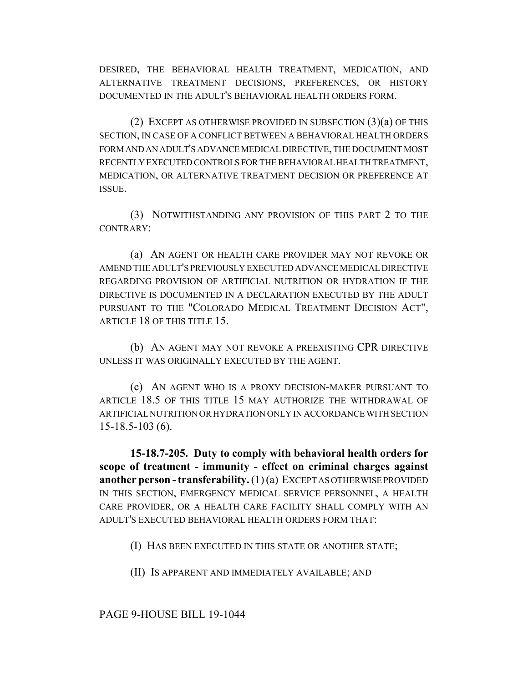DESIRED, THE BEHAVIORAL HEALTH TREATMENT, MEDICATION, AND ALTERNATIVE TREATMENT DECISIONS, PREFERENCES, OR HISTORY DOCUMENTED IN THE ADULT'S BEHAVIORAL HEALTH ORDERS FORM.

(2) EXCEPT AS OTHERWISE PROVIDED IN SUBSECTION (3)(a) OF THIS SECTION, IN CASE OF A CONFLICT BETWEEN A BEHAVIORAL HEALTH ORDERS FORM AND AN ADULT'S ADVANCE MEDICAL DIRECTIVE, THE DOCUMENT MOST RECENTLY EXECUTED CONTROLS FOR THE BEHAVIORAL HEALTH TREATMENT, MEDICATION, OR ALTERNATIVE TREATMENT DECISION OR PREFERENCE AT ISSUE.

(3) NOTWITHSTANDING ANY PROVISION OF THIS PART 2 TO THE CONTRARY:

(a) AN AGENT OR HEALTH CARE PROVIDER MAY NOT REVOKE OR AMEND THE ADULT'S PREVIOUSLY EXECUTED ADVANCE MEDICAL DIRECTIVE REGARDING PROVISION OF ARTIFICIAL NUTRITION OR HYDRATION IF THE DIRECTIVE IS DOCUMENTED IN A DECLARATION EXECUTED BY THE ADULT PURSUANT TO THE "COLORADO MEDICAL TREATMENT DECISION ACT", ARTICLE 18 OF THIS TITLE 15.

(b) AN AGENT MAY NOT REVOKE A PREEXISTING CPR DIRECTIVE UNLESS IT WAS ORIGINALLY EXECUTED BY THE AGENT.

(c) AN AGENT WHO IS A PROXY DECISION-MAKER PURSUANT TO ARTICLE 18.5 OF THIS TITLE 15 MAY AUTHORIZE THE WITHDRAWAL OF ARTIFICIAL NUTRITION OR HYDRATION ONLY IN ACCORDANCE WITH SECTION 15-18.5-103 (6).

**15-18.7-205. Duty to comply with behavioral health orders for scope of treatment - immunity - effect on criminal charges against another person - transferability.** (1) (a) EXCEPT AS OTHERWISE PROVIDED IN THIS SECTION, EMERGENCY MEDICAL SERVICE PERSONNEL, A HEALTH CARE PROVIDER, OR A HEALTH CARE FACILITY SHALL COMPLY WITH AN ADULT'S EXECUTED BEHAVIORAL HEALTH ORDERS FORM THAT:

(I) HAS BEEN EXECUTED IN THIS STATE OR ANOTHER STATE;

(II) IS APPARENT AND IMMEDIATELY AVAILABLE; AND

## PAGE 9-HOUSE BILL 19-1044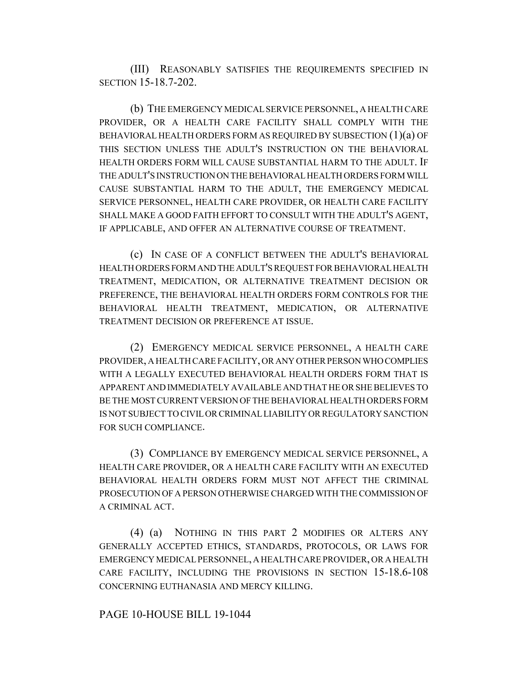(III) REASONABLY SATISFIES THE REQUIREMENTS SPECIFIED IN SECTION 15-18.7-202.

(b) THE EMERGENCY MEDICAL SERVICE PERSONNEL, A HEALTH CARE PROVIDER, OR A HEALTH CARE FACILITY SHALL COMPLY WITH THE BEHAVIORAL HEALTH ORDERS FORM AS REQUIRED BY SUBSECTION  $(1)(a)$  OF THIS SECTION UNLESS THE ADULT'S INSTRUCTION ON THE BEHAVIORAL HEALTH ORDERS FORM WILL CAUSE SUBSTANTIAL HARM TO THE ADULT. IF THE ADULT'S INSTRUCTION ON THE BEHAVIORAL HEALTH ORDERS FORM WILL CAUSE SUBSTANTIAL HARM TO THE ADULT, THE EMERGENCY MEDICAL SERVICE PERSONNEL, HEALTH CARE PROVIDER, OR HEALTH CARE FACILITY SHALL MAKE A GOOD FAITH EFFORT TO CONSULT WITH THE ADULT'S AGENT, IF APPLICABLE, AND OFFER AN ALTERNATIVE COURSE OF TREATMENT.

(c) IN CASE OF A CONFLICT BETWEEN THE ADULT'S BEHAVIORAL HEALTH ORDERS FORM AND THE ADULT'S REQUEST FOR BEHAVIORAL HEALTH TREATMENT, MEDICATION, OR ALTERNATIVE TREATMENT DECISION OR PREFERENCE, THE BEHAVIORAL HEALTH ORDERS FORM CONTROLS FOR THE BEHAVIORAL HEALTH TREATMENT, MEDICATION, OR ALTERNATIVE TREATMENT DECISION OR PREFERENCE AT ISSUE.

(2) EMERGENCY MEDICAL SERVICE PERSONNEL, A HEALTH CARE PROVIDER, A HEALTH CARE FACILITY, OR ANY OTHER PERSON WHO COMPLIES WITH A LEGALLY EXECUTED BEHAVIORAL HEALTH ORDERS FORM THAT IS APPARENT AND IMMEDIATELY AVAILABLE AND THAT HE OR SHE BELIEVES TO BE THE MOST CURRENT VERSION OF THE BEHAVIORAL HEALTH ORDERS FORM IS NOT SUBJECT TO CIVIL OR CRIMINAL LIABILITY OR REGULATORY SANCTION FOR SUCH COMPLIANCE.

(3) COMPLIANCE BY EMERGENCY MEDICAL SERVICE PERSONNEL, A HEALTH CARE PROVIDER, OR A HEALTH CARE FACILITY WITH AN EXECUTED BEHAVIORAL HEALTH ORDERS FORM MUST NOT AFFECT THE CRIMINAL PROSECUTION OF A PERSON OTHERWISE CHARGED WITH THE COMMISSION OF A CRIMINAL ACT.

(4) (a) NOTHING IN THIS PART 2 MODIFIES OR ALTERS ANY GENERALLY ACCEPTED ETHICS, STANDARDS, PROTOCOLS, OR LAWS FOR EMERGENCY MEDICAL PERSONNEL, A HEALTH CARE PROVIDER, OR A HEALTH CARE FACILITY, INCLUDING THE PROVISIONS IN SECTION 15-18.6-108 CONCERNING EUTHANASIA AND MERCY KILLING.

### PAGE 10-HOUSE BILL 19-1044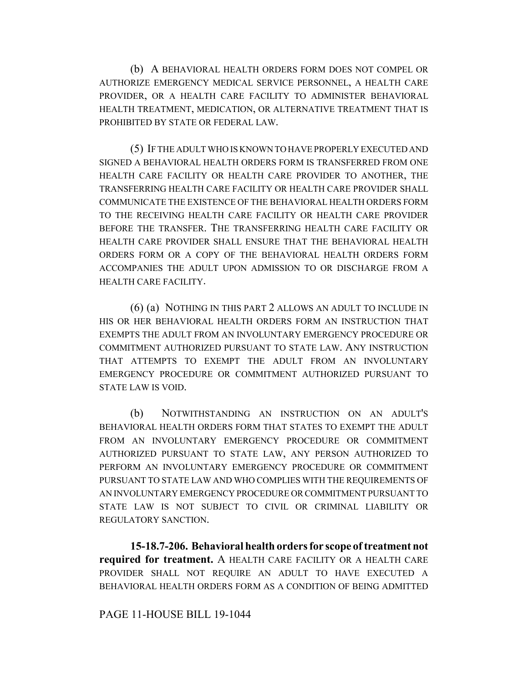(b) A BEHAVIORAL HEALTH ORDERS FORM DOES NOT COMPEL OR AUTHORIZE EMERGENCY MEDICAL SERVICE PERSONNEL, A HEALTH CARE PROVIDER, OR A HEALTH CARE FACILITY TO ADMINISTER BEHAVIORAL HEALTH TREATMENT, MEDICATION, OR ALTERNATIVE TREATMENT THAT IS PROHIBITED BY STATE OR FEDERAL LAW.

(5) IF THE ADULT WHO IS KNOWN TO HAVE PROPERLY EXECUTED AND SIGNED A BEHAVIORAL HEALTH ORDERS FORM IS TRANSFERRED FROM ONE HEALTH CARE FACILITY OR HEALTH CARE PROVIDER TO ANOTHER, THE TRANSFERRING HEALTH CARE FACILITY OR HEALTH CARE PROVIDER SHALL COMMUNICATE THE EXISTENCE OF THE BEHAVIORAL HEALTH ORDERS FORM TO THE RECEIVING HEALTH CARE FACILITY OR HEALTH CARE PROVIDER BEFORE THE TRANSFER. THE TRANSFERRING HEALTH CARE FACILITY OR HEALTH CARE PROVIDER SHALL ENSURE THAT THE BEHAVIORAL HEALTH ORDERS FORM OR A COPY OF THE BEHAVIORAL HEALTH ORDERS FORM ACCOMPANIES THE ADULT UPON ADMISSION TO OR DISCHARGE FROM A HEALTH CARE FACILITY.

(6) (a) NOTHING IN THIS PART 2 ALLOWS AN ADULT TO INCLUDE IN HIS OR HER BEHAVIORAL HEALTH ORDERS FORM AN INSTRUCTION THAT EXEMPTS THE ADULT FROM AN INVOLUNTARY EMERGENCY PROCEDURE OR COMMITMENT AUTHORIZED PURSUANT TO STATE LAW. ANY INSTRUCTION THAT ATTEMPTS TO EXEMPT THE ADULT FROM AN INVOLUNTARY EMERGENCY PROCEDURE OR COMMITMENT AUTHORIZED PURSUANT TO STATE LAW IS VOID.

(b) NOTWITHSTANDING AN INSTRUCTION ON AN ADULT'S BEHAVIORAL HEALTH ORDERS FORM THAT STATES TO EXEMPT THE ADULT FROM AN INVOLUNTARY EMERGENCY PROCEDURE OR COMMITMENT AUTHORIZED PURSUANT TO STATE LAW, ANY PERSON AUTHORIZED TO PERFORM AN INVOLUNTARY EMERGENCY PROCEDURE OR COMMITMENT PURSUANT TO STATE LAW AND WHO COMPLIES WITH THE REQUIREMENTS OF AN INVOLUNTARY EMERGENCY PROCEDURE OR COMMITMENT PURSUANT TO STATE LAW IS NOT SUBJECT TO CIVIL OR CRIMINAL LIABILITY OR REGULATORY SANCTION.

**15-18.7-206. Behavioral health orders for scope of treatment not required for treatment.** A HEALTH CARE FACILITY OR A HEALTH CARE PROVIDER SHALL NOT REQUIRE AN ADULT TO HAVE EXECUTED A BEHAVIORAL HEALTH ORDERS FORM AS A CONDITION OF BEING ADMITTED

### PAGE 11-HOUSE BILL 19-1044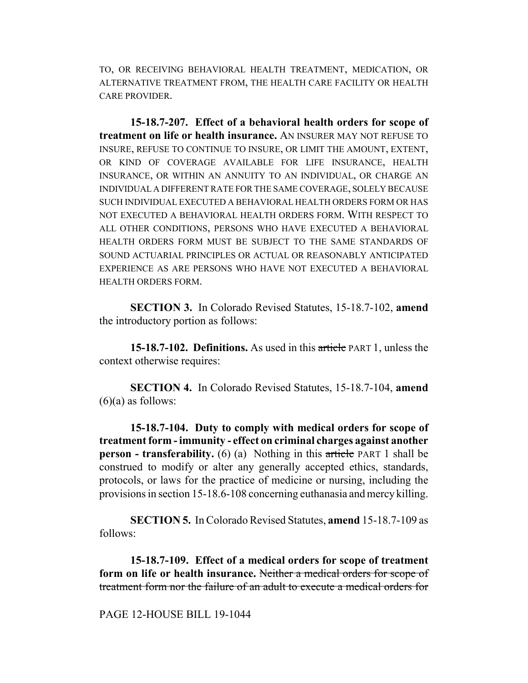TO, OR RECEIVING BEHAVIORAL HEALTH TREATMENT, MEDICATION, OR ALTERNATIVE TREATMENT FROM, THE HEALTH CARE FACILITY OR HEALTH CARE PROVIDER.

**15-18.7-207. Effect of a behavioral health orders for scope of treatment on life or health insurance.** AN INSURER MAY NOT REFUSE TO INSURE, REFUSE TO CONTINUE TO INSURE, OR LIMIT THE AMOUNT, EXTENT, OR KIND OF COVERAGE AVAILABLE FOR LIFE INSURANCE, HEALTH INSURANCE, OR WITHIN AN ANNUITY TO AN INDIVIDUAL, OR CHARGE AN INDIVIDUAL A DIFFERENT RATE FOR THE SAME COVERAGE, SOLELY BECAUSE SUCH INDIVIDUAL EXECUTED A BEHAVIORAL HEALTH ORDERS FORM OR HAS NOT EXECUTED A BEHAVIORAL HEALTH ORDERS FORM. WITH RESPECT TO ALL OTHER CONDITIONS, PERSONS WHO HAVE EXECUTED A BEHAVIORAL HEALTH ORDERS FORM MUST BE SUBJECT TO THE SAME STANDARDS OF SOUND ACTUARIAL PRINCIPLES OR ACTUAL OR REASONABLY ANTICIPATED EXPERIENCE AS ARE PERSONS WHO HAVE NOT EXECUTED A BEHAVIORAL HEALTH ORDERS FORM.

**SECTION 3.** In Colorado Revised Statutes, 15-18.7-102, **amend** the introductory portion as follows:

**15-18.7-102. Definitions.** As used in this article PART 1, unless the context otherwise requires:

**SECTION 4.** In Colorado Revised Statutes, 15-18.7-104, **amend**  $(6)(a)$  as follows:

**15-18.7-104. Duty to comply with medical orders for scope of treatment form - immunity - effect on criminal charges against another person - transferability.** (6) (a) Nothing in this article PART 1 shall be construed to modify or alter any generally accepted ethics, standards, protocols, or laws for the practice of medicine or nursing, including the provisions in section 15-18.6-108 concerning euthanasia and mercy killing.

**SECTION 5.** In Colorado Revised Statutes, **amend** 15-18.7-109 as follows:

**15-18.7-109. Effect of a medical orders for scope of treatment form on life or health insurance.** Neither a medical orders for scope of treatment form nor the failure of an adult to execute a medical orders for

PAGE 12-HOUSE BILL 19-1044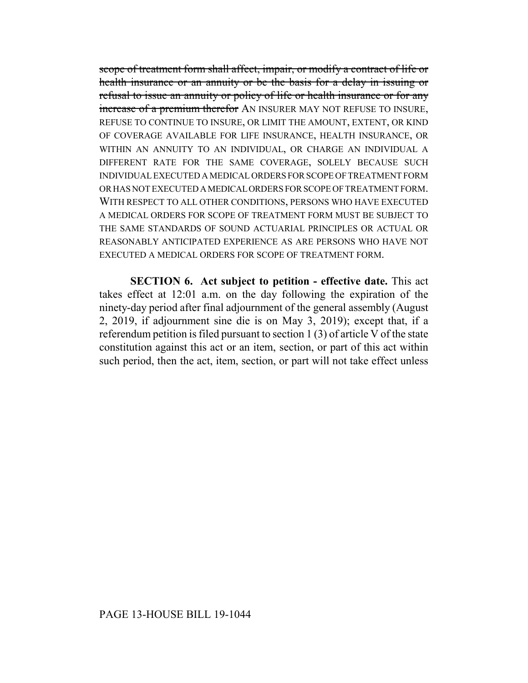scope of treatment form shall affect, impair, or modify a contract of life or health insurance or an annuity or be the basis for a delay in issuing or refusal to issue an annuity or policy of life or health insurance or for any increase of a premium therefor AN INSURER MAY NOT REFUSE TO INSURE, REFUSE TO CONTINUE TO INSURE, OR LIMIT THE AMOUNT, EXTENT, OR KIND OF COVERAGE AVAILABLE FOR LIFE INSURANCE, HEALTH INSURANCE, OR WITHIN AN ANNUITY TO AN INDIVIDUAL, OR CHARGE AN INDIVIDUAL A DIFFERENT RATE FOR THE SAME COVERAGE, SOLELY BECAUSE SUCH INDIVIDUAL EXECUTED A MEDICAL ORDERS FOR SCOPE OF TREATMENT FORM OR HAS NOT EXECUTED A MEDICAL ORDERS FOR SCOPE OF TREATMENT FORM. WITH RESPECT TO ALL OTHER CONDITIONS, PERSONS WHO HAVE EXECUTED A MEDICAL ORDERS FOR SCOPE OF TREATMENT FORM MUST BE SUBJECT TO THE SAME STANDARDS OF SOUND ACTUARIAL PRINCIPLES OR ACTUAL OR REASONABLY ANTICIPATED EXPERIENCE AS ARE PERSONS WHO HAVE NOT EXECUTED A MEDICAL ORDERS FOR SCOPE OF TREATMENT FORM.

**SECTION 6. Act subject to petition - effective date.** This act takes effect at 12:01 a.m. on the day following the expiration of the ninety-day period after final adjournment of the general assembly (August 2, 2019, if adjournment sine die is on May 3, 2019); except that, if a referendum petition is filed pursuant to section 1 (3) of article V of the state constitution against this act or an item, section, or part of this act within such period, then the act, item, section, or part will not take effect unless